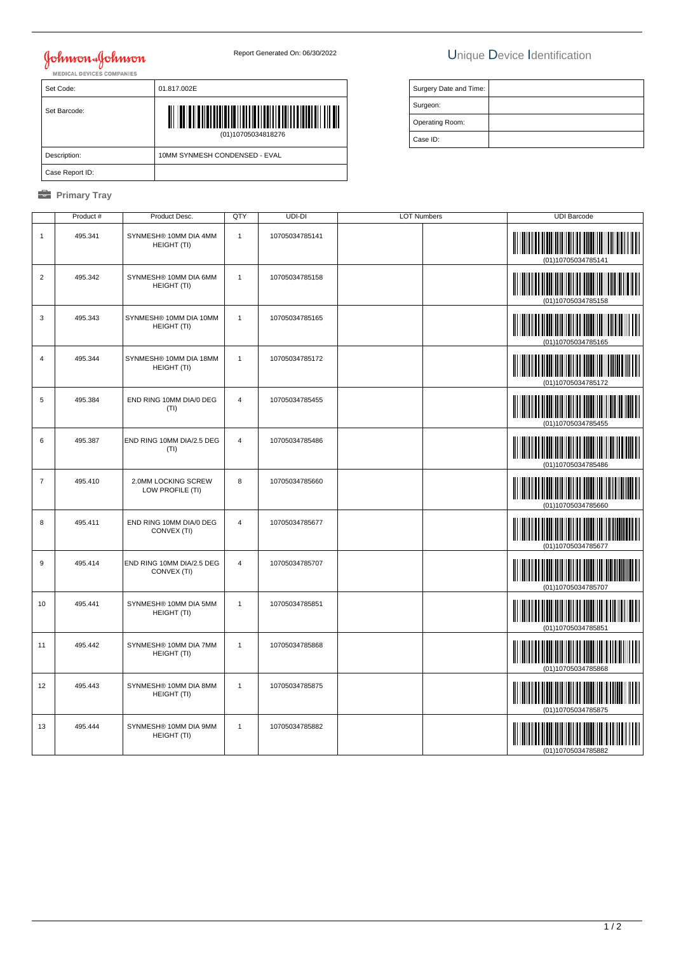# **Johnson & Johnson**

### Report Generated On: 06/30/2022 Unique Device Identification

| <b>MEDICAL DEVICES COMPANIES</b> |                               |  |  |
|----------------------------------|-------------------------------|--|--|
| Set Code:                        | 01.817.002E                   |  |  |
| Set Barcode:                     | (01)10705034818276            |  |  |
| Description:                     | 10MM SYNMESH CONDENSED - EVAL |  |  |
| Case Report ID:                  |                               |  |  |

### *<u><b>* Primary Tray</u>

| Surgery Date and Time: |  |
|------------------------|--|
| Surgeon:               |  |
| Operating Room:        |  |
| Case ID:               |  |

|                | Product # | Product Desc.                            | QTY            | UDI-DI         | <b>LOT Numbers</b> | <b>UDI Barcode</b>                                               |
|----------------|-----------|------------------------------------------|----------------|----------------|--------------------|------------------------------------------------------------------|
| $\mathbf{1}$   | 495.341   | SYNMESH® 10MM DIA 4MM<br>HEIGHT (TI)     | $\overline{1}$ | 10705034785141 |                    | (01)10705034785141                                               |
| $\overline{2}$ | 495.342   | SYNMESH® 10MM DIA 6MM<br>HEIGHT (TI)     | $\mathbf{1}$   | 10705034785158 |                    | (01)10705034785158                                               |
| 3              | 495.343   | SYNMESH® 10MM DIA 10MM<br>HEIGHT (TI)    | $\mathbf{1}$   | 10705034785165 |                    | (01)10705034785165                                               |
| $\overline{4}$ | 495.344   | SYNMESH® 10MM DIA 18MM<br>HEIGHT (TI)    | $\mathbf{1}$   | 10705034785172 |                    | <b>THE REAL PROPERTY AND REAL PROPERTY</b><br>(01)10705034785172 |
| $\sqrt{5}$     | 495.384   | END RING 10MM DIA/0 DEG<br>(TI)          | $\overline{4}$ | 10705034785455 |                    | (01)10705034785455                                               |
| 6              | 495.387   | END RING 10MM DIA/2.5 DEG<br>(TI)        | $\overline{4}$ | 10705034785486 |                    | (01)10705034785486                                               |
| $\overline{7}$ | 495.410   | 2.0MM LOCKING SCREW<br>LOW PROFILE (TI)  | 8              | 10705034785660 |                    | (01)10705034785660                                               |
| 8              | 495.411   | END RING 10MM DIA/0 DEG<br>CONVEX (TI)   | $\overline{4}$ | 10705034785677 |                    | (01)10705034785677                                               |
| $9\,$          | 495.414   | END RING 10MM DIA/2.5 DEG<br>CONVEX (TI) | $\overline{4}$ | 10705034785707 |                    | (01)10705034785707                                               |
| 10             | 495.441   | SYNMESH® 10MM DIA 5MM<br>HEIGHT (TI)     | $\mathbf{1}$   | 10705034785851 |                    | <b>Maria Alberta</b><br>(01)10705034785851                       |
| 11             | 495.442   | SYNMESH® 10MM DIA 7MM<br>HEIGHT (TI)     | $\mathbf{1}$   | 10705034785868 |                    | (01)10705034785868                                               |
| 12             | 495.443   | SYNMESH® 10MM DIA 8MM<br>HEIGHT (TI)     | $\overline{1}$ | 10705034785875 |                    | (01)10705034785875                                               |
| 13             | 495.444   | SYNMESH® 10MM DIA 9MM<br>HEIGHT (TI)     | $\mathbf{1}$   | 10705034785882 |                    | (01)10705034785882                                               |